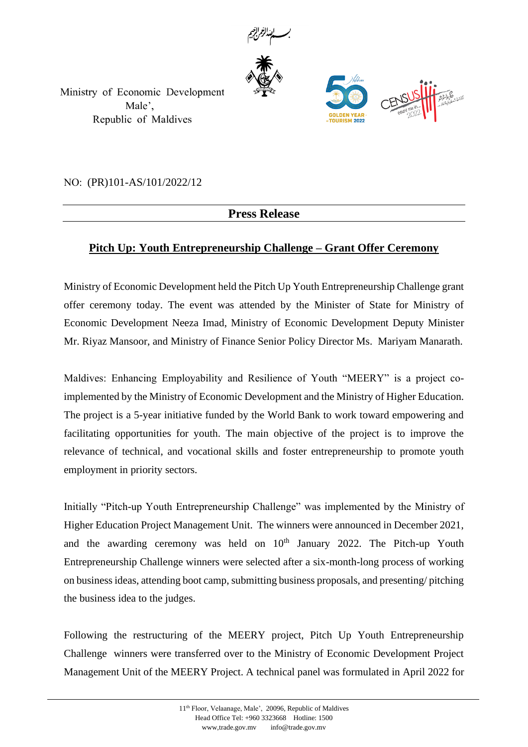



Ministry of Economic Development Male', Republic of Maldives

*NO:* (PR)101-AS/101/2022/12

## **Press Release**

## **Pitch Up: Youth Entrepreneurship Challenge – Grant Offer Ceremony**

Ministry of Economic Development held the Pitch Up Youth Entrepreneurship Challenge grant offer ceremony today. The event was attended by the Minister of State for Ministry of Economic Development Neeza Imad, Ministry of Economic Development Deputy Minister Mr. Riyaz Mansoor, and Ministry of Finance Senior Policy Director Ms. Mariyam Manarath.

Maldives: Enhancing Employability and Resilience of Youth "MEERY" is a project coimplemented by the Ministry of Economic Development and the Ministry of Higher Education. The project is a 5-year initiative funded by the World Bank to work toward empowering and facilitating opportunities for youth. The main objective of the project is to improve the relevance of technical, and vocational skills and foster entrepreneurship to promote youth employment in priority sectors.

Initially "Pitch-up Youth Entrepreneurship Challenge" was implemented by the Ministry of Higher Education Project Management Unit. The winners were announced in December 2021, and the awarding ceremony was held on  $10<sup>th</sup>$  January 2022. The Pitch-up Youth Entrepreneurship Challenge winners were selected after a six-month-long process of working on business ideas, attending boot camp, submitting business proposals, and presenting/ pitching the business idea to the judges.

Following the restructuring of the MEERY project, Pitch Up Youth Entrepreneurship Challenge winners were transferred over to the Ministry of Economic Development Project Management Unit of the MEERY Project. A technical panel was formulated in April 2022 for